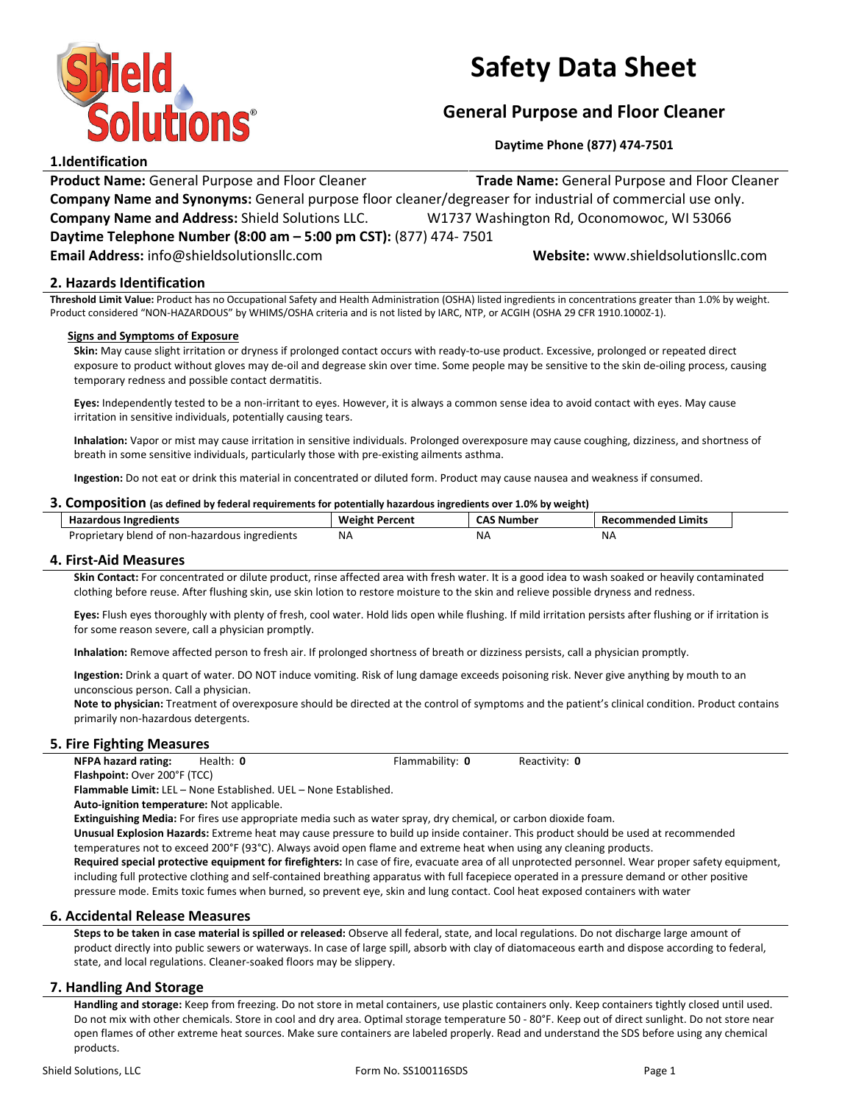

# Safety Data Sheet

# General Purpose and Floor Cleaner

Daytime Phone (877) 474-7501

# 1.Identification

**Product Name: General Purpose and Floor Cleaner Trade Name: General Purpose and Floor Cleaner** Company Name and Synonyms: General purpose floor cleaner/degreaser for industrial of commercial use only. Company Name and Address: Shield Solutions LLC. W1737 Washington Rd, Oconomowoc, WI 53066 Daytime Telephone Number (8:00 am – 5:00 pm CST): (877) 474- 7501 Email Address: info@shieldsolutionsllc.com Website: www.shieldsolutionsllc.com

# 2. Hazards Identification

Threshold Limit Value: Product has no Occupational Safety and Health Administration (OSHA) listed ingredients in concentrations greater than 1.0% by weight. Product considered "NON-HAZARDOUS" by WHIMS/OSHA criteria and is not listed by IARC, NTP, or ACGIH (OSHA 29 CFR 1910.1000Z-1).

# Signs and Symptoms of Exposure

Skin: May cause slight irritation or dryness if prolonged contact occurs with ready-to-use product. Excessive, prolonged or repeated direct exposure to product without gloves may de-oil and degrease skin over time. Some people may be sensitive to the skin de-oiling process, causing temporary redness and possible contact dermatitis.

Eyes: Independently tested to be a non-irritant to eyes. However, it is always a common sense idea to avoid contact with eyes. May cause irritation in sensitive individuals, potentially causing tears.

Inhalation: Vapor or mist may cause irritation in sensitive individuals. Prolonged overexposure may cause coughing, dizziness, and shortness of breath in some sensitive individuals, particularly those with pre-existing ailments asthma.

Ingestion: Do not eat or drink this material in concentrated or diluted form. Product may cause nausea and weakness if consumed.

## 3. Composition (as defined by federal requirements for potentially hazardous ingredients over 1.0% by weight)

| <b>Hazardous Ingredients</b>                   | Weight,<br>Percent | <b>CAS</b><br>. Number | <b>Recommended Limits</b> |
|------------------------------------------------|--------------------|------------------------|---------------------------|
| Proprietary blend of non-hazardous ingredients | ΝA                 | N۵                     | N۶                        |
|                                                |                    |                        |                           |

## 4. First-Aid Measures

Skin Contact: For concentrated or dilute product, rinse affected area with fresh water. It is a good idea to wash soaked or heavily contaminated clothing before reuse. After flushing skin, use skin lotion to restore moisture to the skin and relieve possible dryness and redness.

Eyes: Flush eyes thoroughly with plenty of fresh, cool water. Hold lids open while flushing. If mild irritation persists after flushing or if irritation is for some reason severe, call a physician promptly.

Inhalation: Remove affected person to fresh air. If prolonged shortness of breath or dizziness persists, call a physician promptly.

Ingestion: Drink a quart of water. DO NOT induce vomiting. Risk of lung damage exceeds poisoning risk. Never give anything by mouth to an unconscious person. Call a physician.

Note to physician: Treatment of overexposure should be directed at the control of symptoms and the patient's clinical condition. Product contains primarily non-hazardous detergents.

# 5. Fire Fighting Measures

NFPA hazard rating: Health: 0 Flammability: 0 Reactivity: 0

Flashpoint: Over 200°F (TCC)

Flammable Limit: LEL – None Established. UEL – None Established. Auto-ignition temperature: Not applicable.

Extinguishing Media: For fires use appropriate media such as water spray, dry chemical, or carbon dioxide foam. Unusual Explosion Hazards: Extreme heat may cause pressure to build up inside container. This product should be used at recommended

temperatures not to exceed 200°F (93°C). Always avoid open flame and extreme heat when using any cleaning products.

Required special protective equipment for firefighters: In case of fire, evacuate area of all unprotected personnel. Wear proper safety equipment, including full protective clothing and self-contained breathing apparatus with full facepiece operated in a pressure demand or other positive pressure mode. Emits toxic fumes when burned, so prevent eye, skin and lung contact. Cool heat exposed containers with water

## 6. Accidental Release Measures

Steps to be taken in case material is spilled or released: Observe all federal, state, and local regulations. Do not discharge large amount of product directly into public sewers or waterways. In case of large spill, absorb with clay of diatomaceous earth and dispose according to federal, state, and local regulations. Cleaner-soaked floors may be slippery.

# 7. Handling And Storage

Handling and storage: Keep from freezing. Do not store in metal containers, use plastic containers only. Keep containers tightly closed until used. Do not mix with other chemicals. Store in cool and dry area. Optimal storage temperature 50 - 80°F. Keep out of direct sunlight. Do not store near open flames of other extreme heat sources. Make sure containers are labeled properly. Read and understand the SDS before using any chemical products.